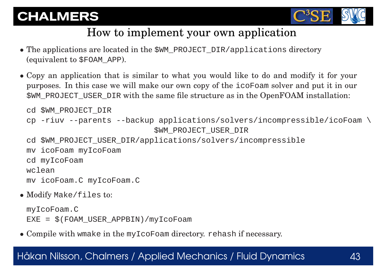

#### How to implement your own application

- The applications are located in the \$WM\_PROJECT\_DIR/applications directory (equivalent to \$FOAM\_APP).
- Copy an application that is similar to what you would like to do and modify it for your purposes. In this case we will make our own copy of the icoFoam solver and put it in our \$WM\_PROJECT\_USER\_DIR with the same file structure as in the OpenFOAM installation:

```
cd $WM_PROJECT_DIR
cp -riuv --parents --backup applications/solvers/incompressible/icoFoam \
                           $WM_PROJECT_USER_DIR
cd $WM_PROJECT_USER_DIR/applications/solvers/incompressible
mv icoFoam myIcoFoam
cd myIcoFoam
wclean
mv icoFoam.C myIcoFoam.C
```
• Modify Make/files to:

```
myIcoFoam.C
EXE = $(FORM \text{ USER} \text{ APPBIN})/myIcoFoam
```
• Compile with wmake in the myIcoFoam directory. rehash if necessary.

#### Håkan Nilsson, Chalmers / Applied Mechanics / Fluid Dynamics 43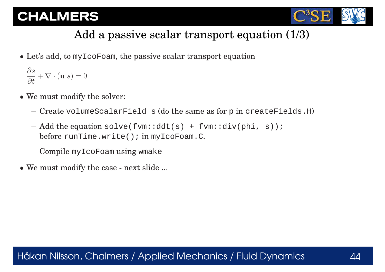

### Add <sup>a</sup> passive scalar transport equation (1/3)

• Let's add, to myIcoFoam, the passive scalar transport equation

∂s  $\frac{\partial}{\partial t} + \nabla \cdot (\mathbf{u} s) = 0$ 

- We must modify the solver:
	- − Create volumeScalarField <sup>s</sup> (do the same as for <sup>p</sup> in createFields.H)
	- − Add the equation solve(fvm::ddt(s) <sup>+</sup> fvm::div(phi, s)); before runTime.write(); in myIcoFoam.C.
	- − Compile myIcoFoam using wmake
- We must modify the case next slide ...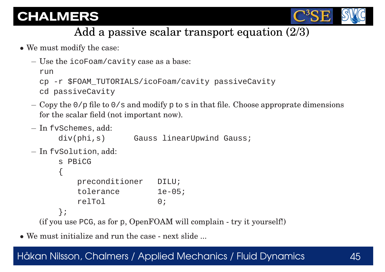

#### Add <sup>a</sup> passive scalar transport equation (2/3)

- We must modify the case:
	- − Use the icoFoam/cavity case as <sup>a</sup> base:

run

```
cp -r $FOAM_TUTORIALS/icoFoam/cavity passiveCavity
```

```
cd passiveCavity
```
- − Copy the 0/p file to 0/s and modify p to s in that file. Choose approprate dimensions for the scalar field (not important now).
- <sup>−</sup> In fvSchemes, add:

div(phi,s) Gauss linearUpwind Gauss;

```
− In fvSolution, add:
```

```
s PBiCG
{
   preconditioner DILU;
   tolerance 1e-05;
   relTol 0;
};
```
(if you use PCG, as for <sup>p</sup>, OpenFOAM will complain - try it yourself!)

• We must initialize and run the case - next slide ...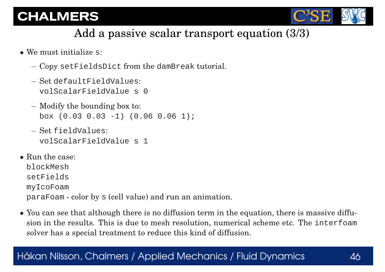

### Add <sup>a</sup> passive scalar transport equation (3/3)

- We must initialize s:
	- − Copy setFieldsDict from the damBreak tutorial.
	- − Set defaultFieldValues: volScalarFieldValue s 0
	- − Modify the bounding box to: box  $(0.03 \ 0.03 \ -1)$   $(0.06 \ 0.06 \ 1);$
	- − Set fieldValues: volScalarFieldValue s 1
- Run the case:

blockMesh setFields myIcoFoam paraFoam - color by <sup>s</sup> (cell value) and run an animation.

• You can see that although there is no diffusion term in the equation, there is massive diffusion in the results. This is due to mesh resolution, numerical scheme etc. The interfoam solver has a special treatment to reduce this kind of diffusion.

#### Håkan Nilsson, Chalmers / Applied Mechanics / Fluid Dynamics \* \* \* \* 46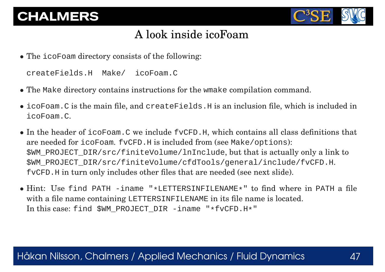

#### A look inside icoFoam

• The icoFoam directory consists of the following:

createFields.H Make/ icoFoam.C

- The Make directory contains instructions for the wmake compilation command.
- icoFoam. C is the main file, and createFields. H is an inclusion file, which is included in icoFoam.C.
- In the header of icoFoam.C we include fvCFD.H, which contains all class definitions that are needed for icoFoam. fvCFD.H is included from (see Make/options): \$WM\_PROJECT\_DIR/src/finiteVolume/lnInclude, but that is actually only <sup>a</sup> link to \$WM\_PROJECT\_DIR/src/finiteVolume/cfdTools/general/include/fvCFD.H. fvCFD.H in turn only includes other files that are needed (see next slide).
- Hint: Use find PATH -iname " \*LETTERSINFILENAME \*" to find where in PATH <sup>a</sup> file with a file name containing LETTERSINFILENAME in its file name is located. In this case: find \$WM\_PROJECT\_DIR -iname " \*fvCFD.H \*"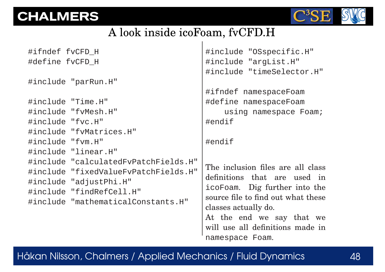

#### A look inside icoFoam, fvCFD.H

#ifndef fvCFD\_H #define fvCFD\_H #include "parRun.H" #include "Time.H" #include "fvMesh.H" #include "fvc.H" #include "fvMatrices.H" #include "fvm.H" #include "linear.H" #include "calculatedFvPatchFields.H" #include "fixedValueFvPatchFields.H" #include "adjustPhi.H" #include "findRefCell.H" #include "mathematicalConstants.H"

#include "OSspecific.H" #include "argList.H" #include "timeSelector.H"

#ifndef namespaceFoam #define namespaceFoam using namespace Foam; #endif

#endif

The inclusion files are all class definitions that are used in icoFoam. Dig further into the source file to find out what these classes actually do. At the end we say that we will use all definitions made in

namespace Foam.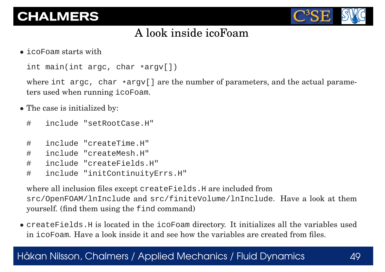

### A look inside icoFoam

• icoFoam starts with

```
int main(int argc, char
*argv[])
```
where int argc, char \*argv[] are the number of parameters, and the actual parameters used when running icoFoam.

- The case is initialized by:
	- # include "setRootCase.H"
	- # include "createTime.H"
	- # include "createMesh.H"
	- # include "createFields.H"
	- # include "initContinuityErrs.H"

where all inclusion files except createFields.H are included from src/OpenFOAM/lnInclude and src/finiteVolume/lnInclude. Have <sup>a</sup> look at them yourself. (find them using the find command)

• createFields.H is located in the icoFoam directory. It initializes all the variables used in icoFoam. Have <sup>a</sup> look inside it and see how the variables are created from files.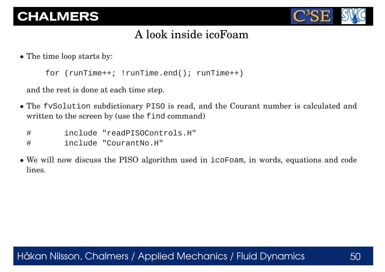

### A look inside icoFoam

• The time loop starts by:

```
for (runTime++; !runTime.end(); runTime++)
```
and the rest is done at each time step.

- The fysolution subdictionary PISO is read, and the Courant number is calculated and written to the screen by (use the find command)
	- # include "readPISOControls.H"
	- # include "CourantNo.H"
- We will now discuss the PISO algorithm used in icoFoam, in words, equations and code lines.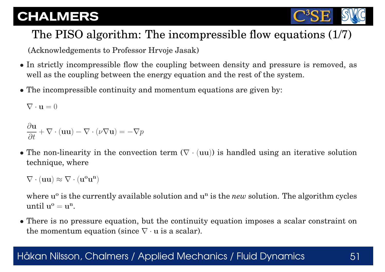

### The PISO algorithm: The incompressible flow equations (1/7)

(Acknowledgements to Professor Hrvoje Jasak)

- In strictly incompressible flow the coupling between density and pressure is removed, as well as the coupling between the energy equation and the rest of the system.
- The incompressible continuity and momentum equations are given by:

 $\nabla \cdot \mathbf{u} = 0$ 

$$
\frac{\partial \mathbf{u}}{\partial t} + \nabla \cdot (\mathbf{u}\mathbf{u}) - \nabla \cdot (\nu \nabla \mathbf{u}) = -\nabla p
$$

• The non-linearity in the convection term  $(\nabla \cdot (uu))$  is handled using an iterative solution technique, where

 $\nabla \cdot (\mathbf{u} \mathbf{u}) \approx \nabla \cdot (\mathbf{u}^{\text{o}} \mathbf{u}^{\text{n}})$ 

where u<sup>o</sup> is the currently available solution and u<sup>n</sup> is the *new* solution. The algorithm cycles  $\text{until } \mathrm{u}^{\mathrm{o}} = \mathrm{u}^{\mathrm{n}}.$ 

• There is no pressure equation, but the continuity equation imposes a scalar constraint on the momentum equation (since  $\nabla \cdot \mathbf{u}$  is a scalar).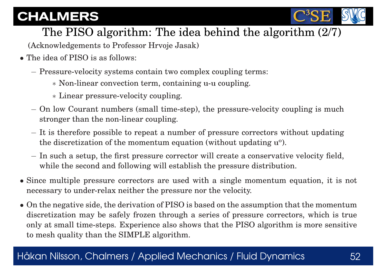

### The PISO algorithm: The idea behind the algorithm (2/7)

(Acknowledgements to Professor Hrvoje Jasak)

- The idea of PISO is as follows:
	- − Pressure-velocity systems contain two complex coupling terms:
		- ∗ Non-linear convection term, containing <sup>u</sup>-<sup>u</sup> coupling.
		- <sup>∗</sup> Linear pressure-velocity coupling.
	- − On low Courant numbers (small time-step), the pressure-velocity coupling is much stronger than the non-linear coupling.
	- − It is therefore possible to repeat <sup>a</sup> number of pressure correctors without updating the discretization of the momentum equation (without updating  $u^o$ ).
	- − In such <sup>a</sup> setup, the first pressure corrector will create <sup>a</sup> conservative velocity field, while the second and following will establish the pressure distribution.
- Since multiple pressure correctors are used with <sup>a</sup> single momentum equation, it is not necessary to under-relax neither the pressure nor the velocity.
- On the negative side, the derivation of PISO is based on the assumption that the momentum discretization may be safely frozen through a series of pressure correctors, which is true only at small time-steps. Experience also shows that the PISO algorithm is more sensitive to mesh quality than the SIMPLE algorithm.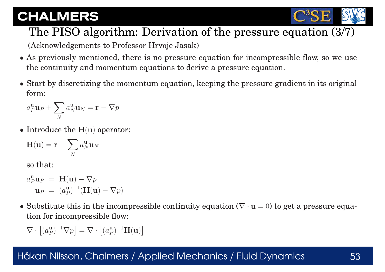

### The PISO algorithm: Derivation of the pressure equation (3/7)

(Acknowledgements to Professor Hrvoje Jasak)

- As previously mentioned, there is no pressure equation for incompressible flow, so we use the continuity and momentum equations to derive <sup>a</sup> pressure equation.
- Start by discretizing the momentum equation, keeping the pressure gradient in its original form:

form:  
\n
$$
a_P^{\mathbf{u}} \mathbf{u}_P + \sum_N a_N^{\mathbf{u}} \mathbf{u}_N = \mathbf{r} - \nabla p
$$

• Introduce the 
$$
H(u)
$$
 operator:  

$$
H(u) = r - \sum_{N} a_N^u u_N
$$

so that:

$$
a_P^{\mathbf{u}} \mathbf{u}_P = \mathbf{H}(\mathbf{u}) - \nabla p
$$
  

$$
\mathbf{u}_P = (a_P^{\mathbf{u}})^{-1} (\mathbf{H}(\mathbf{u}) - \nabla p)
$$

- Substitute this in the incompressible continuity equation ( $\nabla \cdot \mathbf{u} = 0$ ) to get a pressure equation for incompressible flow:
	- $\nabla \cdot \left[ (a_F^{\bf u}$ [<br>[  $\mathbb{E}_P^{(n)}[p] = \nabla \cdot [(a_P^u)]$  $\overline{\mathbb{I}}$ [<br>[  $_{P}^{\mathbf{u}})^{-1}\mathbf{H}(\mathbf{u})$  $\overline{\phantom{a}}$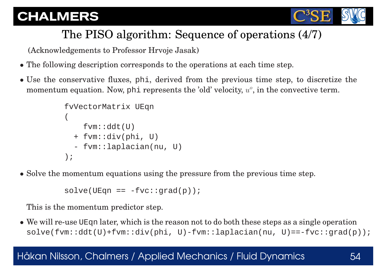

### The PISO algorithm: Sequence of operations (4/7)

(Acknowledgements to Professor Hrvoje Jasak)

- The following description corresponds to the operations at each time step.
- Use the conservative fluxes, phi, derived from the previous time step, to discretize the momentum equation. Now, phi represents the 'old' velocity,  $u^o$ , in the convective term.

```
fvVectorMatrix UEqn
(
    fvm::ddt(U)
  + fvm::div(phi, U)
  - fvm::laplacian(nu, U)
);
```
• Solve the momentum equations using the pressure from the previous time step.

```
solve(UEqn == -fvc::grad(p));
```
This is the momentum predictor step.

• We will re-use UEqn later, which is the reason not to do both these steps as a single operation solve(fvm::ddt(U)+fvm::div(phi, U)-fvm::laplacian(nu, U)==-fvc::grad(p));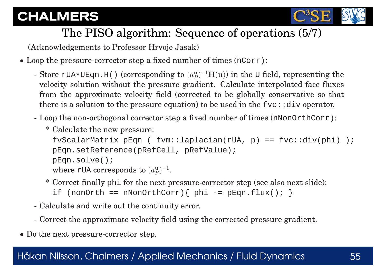

### The PISO algorithm: Sequence of operations (5/7)

(Acknowledgements to Professor Hrvoje Jasak)

- Loop the pressure-corrector step a fixed number of times (nCorr):
	- Store rUA\*UEqn.H() (corresponding to  $(a<sub>p</sub><sup>u</sup>)$  $\mathbf{H}_{(p)}^{u})^{-1}\mathbf{H}(\mathbf{u})$ ) in the  $\mathbb U$  field, representing the velocity solution without the pressure gradient. Calculate interpolated face fluxes from the approximate velocity field (corrected to be globally conservative so that there is a solution to the pressure equation) to be used in the  $fvc:div$  operator.
	- Loop the non-orthogonal corrector step <sup>a</sup> fixed number of times (nNonOrthCorr):
		- \* Calculate the new pressure:

```
fvScalarMatrix pEqn ( fvm::laplacian(rUA, p) == fvc::div(phi) );
pEqn.setReference(pRefCell, pRefValue);
pEqn.solve();
```
where rUA corresponds to  $(a_\mu^{\mathbf{u}})$  $\frac{\mathbf{u}}{P}$ ) $^{-1}$ .

\* Correct finally phi for the next pressure-corrector step (see also next slide):

```
if (nonOrth == nNonOrthCorr){ phi -= pEqn.flux(); }
```
- Calculate and write out the continuity error.
- Correct the approximate velocity field using the corrected pressure gradient.
- Do the next pressure-corrector step.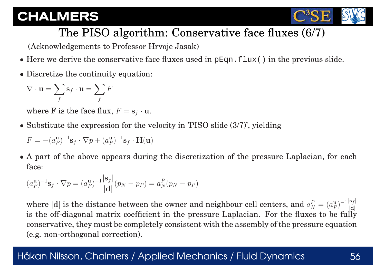

### The PISO algorithm: Conservative face fluxes (6/7)

(Acknowledgements to Professor Hrvoje Jasak)

- Here we derive the conservative face fluxes used in  $p_{\text{Eqn}}$ .  $f_{\text{lux}}(x)$  in the previous slide.
- 

• Discretize the continuity equation:  
\n
$$
\nabla \cdot \mathbf{u} = \sum_{f} \mathbf{s}_f \cdot \mathbf{u} = \sum_{f} F
$$

where F is the face flux,  $F=\mathbf{s}_f\cdot \mathbf{u}.$ 

• Substitute the expression for the velocity in 'PISO slide  $(3/7)$ ', yielding

$$
F = -(a_P^{\mathbf{u}})^{-1} \mathbf{s}_f \cdot \nabla p + (a_P^{\mathbf{u}})^{-1} \mathbf{s}_f \cdot \mathbf{H}(\mathbf{u})
$$

• A part of the above appears during the discretization of the pressure Laplacian, for each face:

$$
(a_P^{\mathbf{u}})^{-1}\mathbf{s}_f \cdot \nabla p = (a_P^{\mathbf{u}})^{-1} \frac{|\mathbf{s}_f|}{|\mathbf{d}|} (p_N - p_P) = a_N^P(p_N - p_P)
$$

where  $|{\bf d}|$  is the distance between the owner and neighbour cell centers, and  $a^P_N = (a^{{\bf u}}_P)^T$  $\binom{u}{P}$ –1 $\frac{|\mathbf{s}_f|}{|\mathbf{d}|}$ |  $|\mathbf{d}|$ is the off-diagonal matrix coefficient in the pressure Laplacian. For the fluxes to be fully conservative, they must be completely consistent with the assembly of the pressure equation (e.g. non-orthogonal correction).

#### Håkan Nilsson, Chalmers / Applied Mechanics / Fluid Dynamics (56)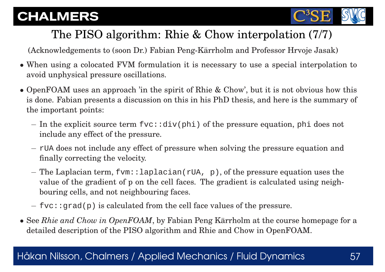

### The PISO algorithm: Rhie & Chow interpolation (7/7)

(Acknowledgements to (soon Dr.) Fabian Peng-Kärrholm and Professor Hrvoje Jasak)

- When using a colocated FVM formulation it is necessary to use a special interpolation to avoid unphysical pressure oscillations.
- OpenFOAM uses an approach 'in the spirit of Rhie & Chow', but it is not obvious how this is done. Fabian presents <sup>a</sup> discussion on this in his PhD thesis, and here is the summary of the important points:
	- − In the explicit source term fvc::div(phi) of the pressure equation, phi does not include any effect of the pressure.
	- − rUA does not include any effect of pressure when solving the pressure equation and finally correcting the velocity.
	- <sup>−</sup> The Laplacian term, fvm::laplacian(rUA, p), of the pressure equation uses the value of the gradient of p on the cell faces. The gradient is calculated using neighbouring cells, and not neighbouring faces.
	- − fvc::grad(p) is calculated from the cell face values of the pressure.
- See *Rhie* and *Chow* in *OpenFOAM*, by Fabian Peng Kärrholm at the course homepage for a detailed description of the PISO algorithm and Rhie and Chow in OpenFOAM.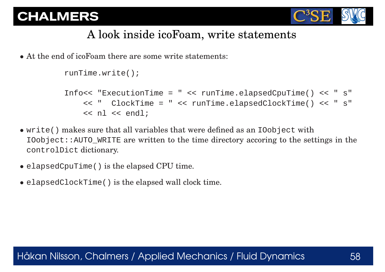

### A look inside icoFoam, write statements

• At the end of icoFoam there are some write statements:

```
runTime.write();
Info<< "ExecutionTime = " << runTime.elapsedCpuTime() << " s"
    << " ClockTime = " << runTime.elapsedClockTime() << " s"
    << nl << endl;
```
- write() makes sure that all variables that were defined as an IOobject with IOobject:: AUTO WRITE are written to the time directory accoring to the settings in the controlDict dictionary.
- elapsedCpuTime() is the elapsed CPU time.
- elapsedClockTime() is the elapsed wall clock time.